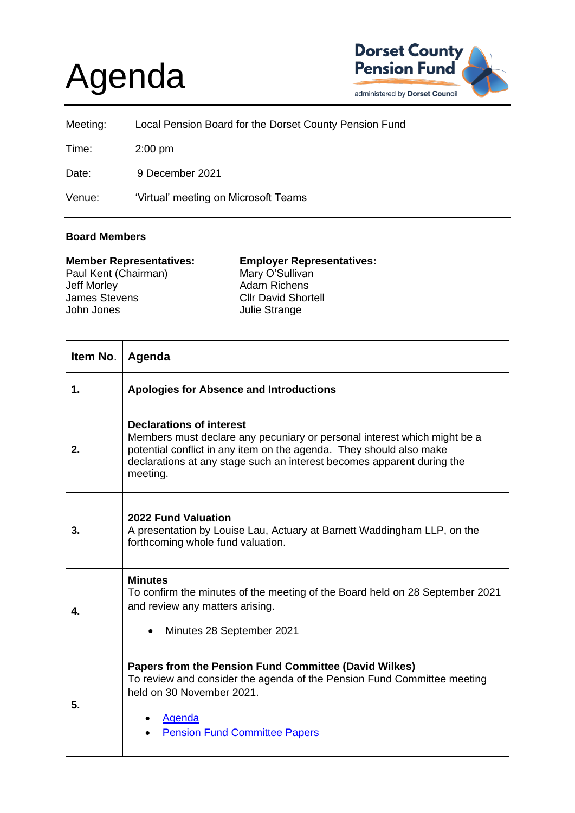## Agenda



| Meeting: | Local Pension Board for the Dorset County Pension Fund |
|----------|--------------------------------------------------------|
| Time:    | $2:00$ pm                                              |
| Date:    | 9 December 2021                                        |
| Venue:   | 'Virtual' meeting on Microsoft Teams                   |

## **Board Members**

| <b>Employer Representatives:</b> |
|----------------------------------|
|                                  |
|                                  |
|                                  |
|                                  |
|                                  |

| Item No. | Agenda                                                                                                                                                                                                                                                                   |
|----------|--------------------------------------------------------------------------------------------------------------------------------------------------------------------------------------------------------------------------------------------------------------------------|
| 1.       | <b>Apologies for Absence and Introductions</b>                                                                                                                                                                                                                           |
| 2.       | <b>Declarations of interest</b><br>Members must declare any pecuniary or personal interest which might be a<br>potential conflict in any item on the agenda. They should also make<br>declarations at any stage such an interest becomes apparent during the<br>meeting. |
| 3.       | <b>2022 Fund Valuation</b><br>A presentation by Louise Lau, Actuary at Barnett Waddingham LLP, on the<br>forthcoming whole fund valuation.                                                                                                                               |
| 4.       | <b>Minutes</b><br>To confirm the minutes of the meeting of the Board held on 28 September 2021<br>and review any matters arising.<br>Minutes 28 September 2021                                                                                                           |
| 5.       | Papers from the Pension Fund Committee (David Wilkes)<br>To review and consider the agenda of the Pension Fund Committee meeting<br>held on 30 November 2021.<br>Agenda<br><b>Pension Fund Committee Papers</b>                                                          |